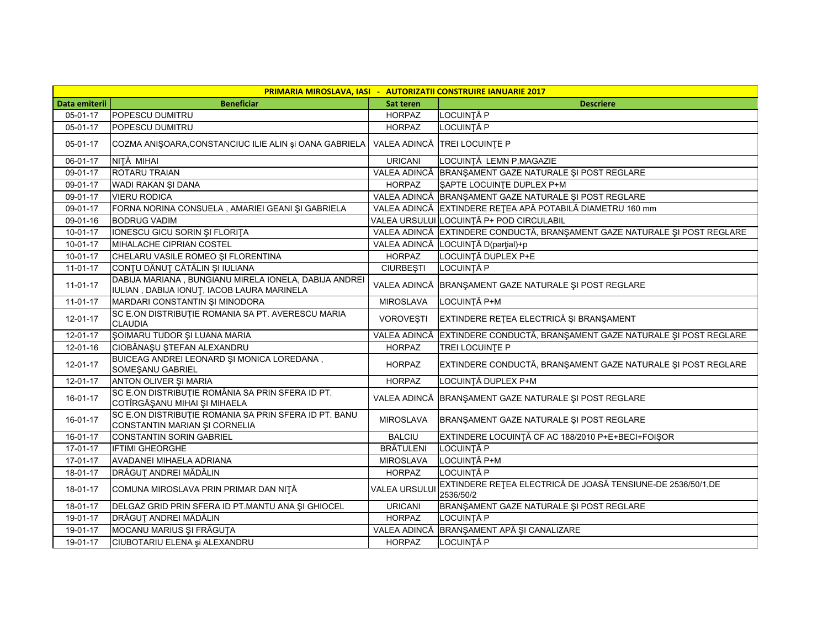| PRIMARIA MIROSLAVA, IASI - AUTORIZATII CONSTRUIRE IANUARIE 2017 |                                                                                                     |                     |                                                                          |  |
|-----------------------------------------------------------------|-----------------------------------------------------------------------------------------------------|---------------------|--------------------------------------------------------------------------|--|
| Data emiterii                                                   | <b>Beneficiar</b>                                                                                   | Sat teren           | Descriere                                                                |  |
| 05-01-17                                                        | POPESCU DUMITRU                                                                                     | <b>HORPAZ</b>       | LOCUINȚĂ P                                                               |  |
| 05-01-17                                                        | POPESCU DUMITRU                                                                                     | <b>HORPAZ</b>       | <b>LOCUINȚĂ P</b>                                                        |  |
| 05-01-17                                                        | COZMA ANIȘOARA, CONSTANCIUC ILIE ALIN și OANA GABRIELA                                              |                     | VALEA ADINCĂ TREI LOCUINȚE P                                             |  |
| 06-01-17                                                        | NIȚĂ MIHAI                                                                                          | <b>URICANI</b>      | LOCUINȚĂ LEMN P, MAGAZIE                                                 |  |
| 09-01-17                                                        | ROTARU TRAIAN                                                                                       | VALEA ADINCĂ        | BRANŞAMENT GAZE NATURALE ŞI POST REGLARE                                 |  |
| 09-01-17                                                        | WADI RAKAN ŞI DANA                                                                                  | <b>HORPAZ</b>       | <b>ŞAPTE LOCUINTE DUPLEX P+M</b>                                         |  |
| 09-01-17                                                        | <b>VIERU RODICA</b>                                                                                 | VALEA ADINCĂ        | BRANŞAMENT GAZE NATURALE ŞI POST REGLARE                                 |  |
| 09-01-17                                                        | FORNA NORINA CONSUELA, AMARIEI GEANI ȘI GABRIELA                                                    |                     | VALEA ADINCĂ EXTINDERE REȚEA APĂ POTABILĂ DIAMETRU 160 mm                |  |
| 09-01-16                                                        | <b>BODRUG VADIM</b>                                                                                 |                     | VALEA URSULUI LOCUINȚĂ P+ POD CIRCULABIL                                 |  |
| $10 - 01 - 17$                                                  | IONESCU GICU SORIN ȘI FLORIȚA                                                                       | VALEA ADINCĂ        | EXTINDERE CONDUCTĂ, BRANȘAMENT GAZE NATURALE ȘI POST REGLARE             |  |
| $10-01-17$                                                      | MIHALACHE CIPRIAN COSTEL                                                                            | VALEA ADINCĂ        | LOCUINȚĂ D(parțial)+p                                                    |  |
| $10 - 01 - 17$                                                  | CHELARU VASILE ROMEO ȘI FLORENTINA                                                                  | <b>HORPAZ</b>       | LOCUINȚĂ DUPLEX P+E                                                      |  |
| 11-01-17                                                        | CONȚU DĂNUȚ CĂTĂLIN ȘI IULIANA                                                                      | <b>CIURBEȘTI</b>    | <b>LOCUINȚĂ P</b>                                                        |  |
| $11-01-17$                                                      | DABIJA MARIANA, BUNGIANU MIRELA IONELA, DABIJA ANDREI<br>IULIAN, DABIJA IONUȚ, IACOB LAURA MARINELA | VALEA ADINCĂ        | BRANŞAMENT GAZE NATURALE ŞI POST REGLARE                                 |  |
| $11-01-17$                                                      | MARDARI CONSTANTIN ȘI MINODORA                                                                      | <b>MIROSLAVA</b>    | LOCUINȚĂ P+M                                                             |  |
| 12-01-17                                                        | SC E.ON DISTRIBUTIE ROMANIA SA PT. AVERESCU MARIA<br><b>CLAUDIA</b>                                 | VOROVEȘTI           | EXTINDERE RETEA ELECTRICĂ ȘI BRANȘAMENT                                  |  |
| 12-01-17                                                        | ŞOIMARU TUDOR ŞI LUANA MARIA                                                                        | VALEA ADINCĂ        | EXTINDERE CONDUCTĂ, BRANȘAMENT GAZE NATURALE ȘI POST REGLARE             |  |
| 12-01-16                                                        | CIOBĂNAȘU ȘTEFAN ALEXANDRU                                                                          | <b>HORPAZ</b>       | <b>TREI LOCUINTE P</b>                                                   |  |
| 12-01-17                                                        | BUICEAG ANDREI LEONARD ȘI MONICA LOREDANA,<br>SOMEŞANU GABRIEL                                      | <b>HORPAZ</b>       | EXTINDERE CONDUCTĂ, BRANȘAMENT GAZE NATURALE ȘI POST REGLARE             |  |
| 12-01-17                                                        | ANTON OLIVER ȘI MARIA                                                                               | <b>HORPAZ</b>       | LOCUINȚĂ DUPLEX P+M                                                      |  |
| 16-01-17                                                        | SC E.ON DISTRIBUTIE ROMÂNIA SA PRIN SFERA ID PT.<br>COTÎRGĂŞANU MIHAI ȘI MIHAELA                    | VALEA ADINCĂ        | BRANŞAMENT GAZE NATURALE ŞI POST REGLARE                                 |  |
| 16-01-17                                                        | SC E.ON DISTRIBUTIE ROMANIA SA PRIN SFERA ID PT. BANU<br>CONSTANTIN MARIAN ȘI CORNELIA              | <b>MIROSLAVA</b>    | BRANŞAMENT GAZE NATURALE ŞI POST REGLARE                                 |  |
| 16-01-17                                                        | <b>CONSTANTIN SORIN GABRIEL</b>                                                                     | <b>BALCIU</b>       | EXTINDERE LOCUINȚĂ CF AC 188/2010 P+E+BECI+FOIŞOR                        |  |
| 17-01-17                                                        | <b>IFTIMI GHEORGHE</b>                                                                              | <b>BRÄTULENI</b>    | <b>LOCUINȚĂ P</b>                                                        |  |
| 17-01-17                                                        | AVADANEI MIHAELA ADRIANA                                                                            | <b>MIROSLAVA</b>    | LOCUINȚĂ P+M                                                             |  |
| 18-01-17                                                        | DRĂGUȚ ANDREI MĂDĂLIN                                                                               | <b>HORPAZ</b>       | <b>LOCUINȚĂ P</b>                                                        |  |
| 18-01-17                                                        | COMUNA MIROSLAVA PRIN PRIMAR DAN NIȚĂ                                                               | <b>VALEA URSULU</b> | EXTINDERE RETEA ELECTRICĂ DE JOASĂ TENSIUNE-DE 2536/50/1,DE<br>2536/50/2 |  |
| 18-01-17                                                        | DELGAZ GRID PRIN SFERA ID PT.MANTU ANA ȘI GHIOCEL                                                   | <b>URICANI</b>      | BRANŞAMENT GAZE NATURALE ŞI POST REGLARE                                 |  |
| 19-01-17                                                        | DRĂGUȚ ANDREI MĂDĂLIN                                                                               | <b>HORPAZ</b>       | <b>LOCUINȚĂ P</b>                                                        |  |
| 19-01-17                                                        | MOCANU MARIUS ȘI FRĂGUȚA                                                                            | VALEA ADINCĂ        | BRANŞAMENT APĂ ȘI CANALIZARE                                             |  |
| 19-01-17                                                        | CIUBOTARIU ELENA și ALEXANDRU                                                                       | <b>HORPAZ</b>       | <b>LOCUINȚĂ P</b>                                                        |  |